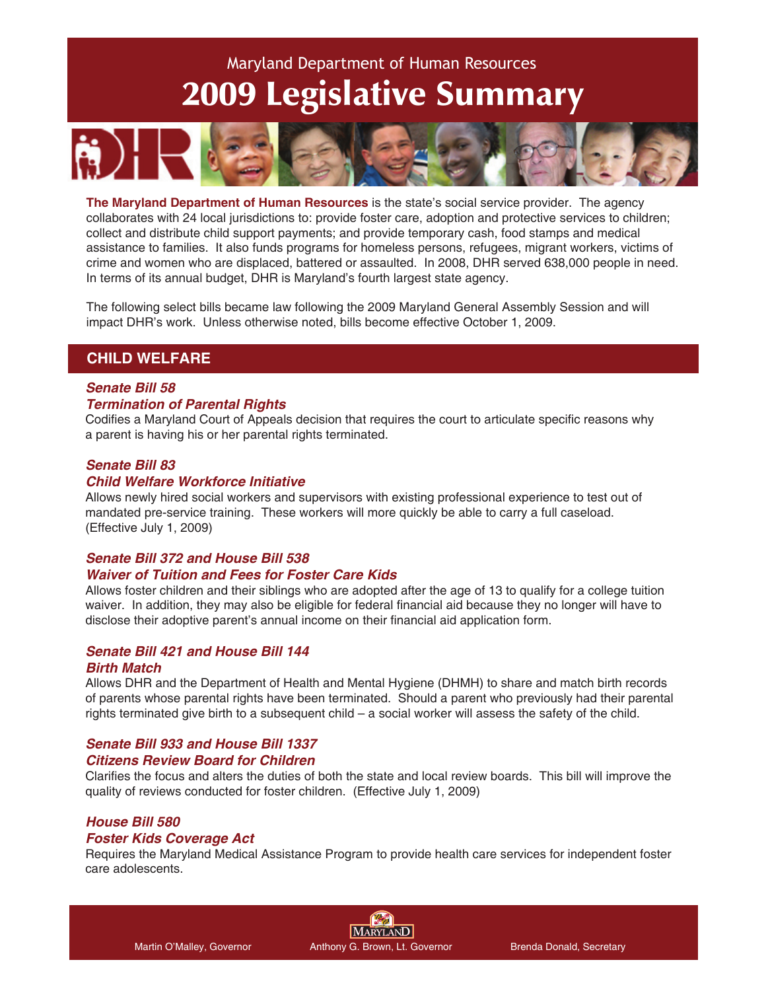# 2009 Legislative Summary Maryland Department of Human Resources



**The Maryland Department of Human Resources** is the state's social service provider. The agency collaborates with 24 local jurisdictions to: provide foster care, adoption and protective services to children; collect and distribute child support payments; and provide temporary cash, food stamps and medical assistance to families. It also funds programs for homeless persons, refugees, migrant workers, victims of crime and women who are displaced, battered or assaulted. In 2008, DHR served 638,000 people in need. In terms of its annual budget, DHR is Maryland's fourth largest state agency.

The following select bills became law following the 2009 Maryland General Assembly Session and will impact DHR's work. Unless otherwise noted, bills become effective October 1, 2009.

## **CHILD WELFARE**

#### *Senate Bill 58*

#### *Termination of Parental Rights*

Codifies a Maryland Court of Appeals decision that requires the court to articulate specific reasons why a parent is having his or her parental rights terminated.

#### *Senate Bill 83*

#### *Child Welfare Workforce Initiative*

Allows newly hired social workers and supervisors with existing professional experience to test out of mandated pre-service training. These workers will more quickly be able to carry a full caseload. (Effective July 1, 2009)

#### *Senate Bill 372 and House Bill 538 Waiver of Tuition and Fees for Foster Care Kids*

Allows foster children and their siblings who are adopted after the age of 13 to qualify for a college tuition waiver. In addition, they may also be eligible for federal financial aid because they no longer will have to disclose their adoptive parent's annual income on their financial aid application form.

#### *Senate Bill 421 and House Bill 144*

#### *Birth Match*

Allows DHR and the Department of Health and Mental Hygiene (DHMH) to share and match birth records of parents whose parental rights have been terminated. Should a parent who previously had their parental rights terminated give birth to a subsequent child – a social worker will assess the safety of the child.

# *Senate Bill 933 and House Bill 1337*

#### *Citizens Review Board for Children*

Clarifies the focus and alters the duties of both the state and local review boards. This bill will improve the quality of reviews conducted for foster children. (Effective July 1, 2009)

#### *House Bill 580*

#### *Foster Kids Coverage Act*

Requires the Maryland Medical Assistance Program to provide health care services for independent foster care adolescents.